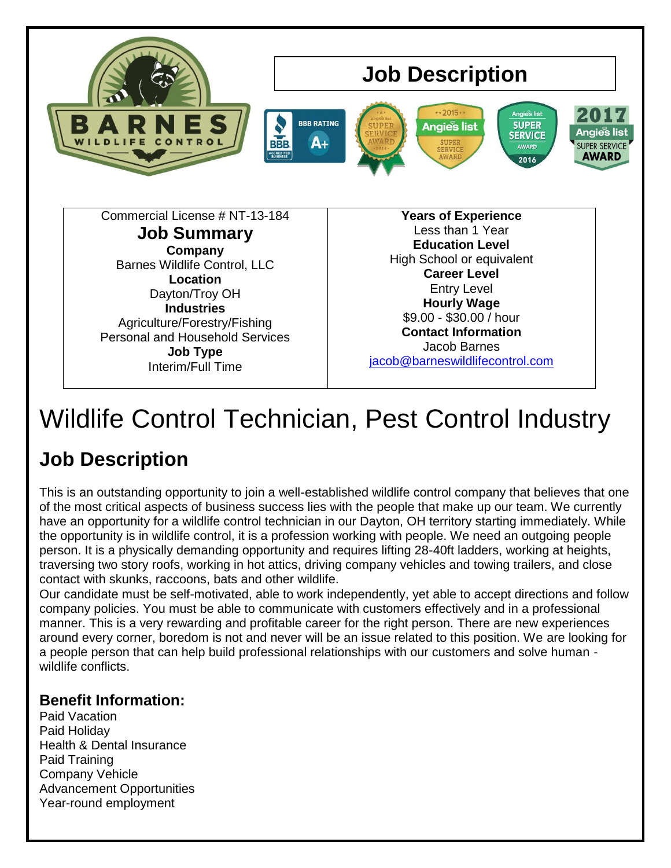

# Wildlife Control Technician, Pest Control Industry

# **Job Description**

This is an outstanding opportunity to join a well-established wildlife control company that believes that one of the most critical aspects of business success lies with the people that make up our team. We currently have an opportunity for a wildlife control technician in our Dayton, OH territory starting immediately. While the opportunity is in wildlife control, it is a profession working with people. We need an outgoing people person. It is a physically demanding opportunity and requires lifting 28-40ft ladders, working at heights, traversing two story roofs, working in hot attics, driving company vehicles and towing trailers, and close contact with skunks, raccoons, bats and other wildlife.

Our candidate must be self-motivated, able to work independently, yet able to accept directions and follow company policies. You must be able to communicate with customers effectively and in a professional manner. This is a very rewarding and profitable career for the right person. There are new experiences around every corner, boredom is not and never will be an issue related to this position. We are looking for a people person that can help build professional relationships with our customers and solve human wildlife conflicts.

#### **Benefit Information:**

Paid Vacation Paid Holiday Health & Dental Insurance Paid Training Company Vehicle Advancement Opportunities Year-round employment